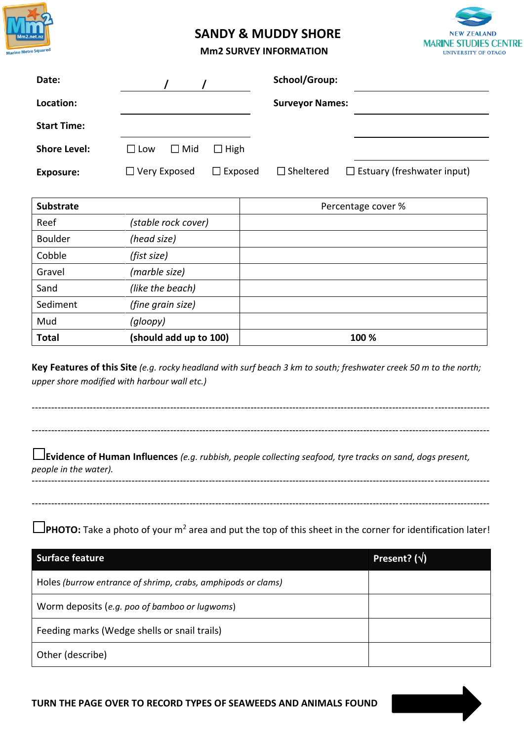

## **SANDY & MUDDY SHORE**



## **Mm2 SURVEY INFORMATION**

| Date:               |                             |                | School/Group:          |                                   |
|---------------------|-----------------------------|----------------|------------------------|-----------------------------------|
| Location:           |                             |                | <b>Surveyor Names:</b> |                                   |
| <b>Start Time:</b>  |                             |                |                        |                                   |
| <b>Shore Level:</b> | $\Box$ Mid<br>$\square$ Low | $\Box$ High    |                        |                                   |
| <b>Exposure:</b>    | $\Box$ Very Exposed         | $\Box$ Exposed | $\Box$ Sheltered       | $\Box$ Estuary (freshwater input) |

| <b>Substrate</b> |                        | Percentage cover % |
|------------------|------------------------|--------------------|
| Reef             | (stable rock cover)    |                    |
| <b>Boulder</b>   | (head size)            |                    |
| Cobble           | (fist size)            |                    |
| Gravel           | (marble size)          |                    |
| Sand             | (like the beach)       |                    |
| Sediment         | (fine grain size)      |                    |
| Mud              | (gloopy)               |                    |
| <b>Total</b>     | (should add up to 100) | 100 %              |

**Key Features of this Site** *(e.g. rocky headland with surf beach 3 km to south; freshwater creek 50 m to the north; upper shore modified with harbour wall etc.)*



Worm deposits (*e.g. poo of bamboo or lugwoms*)

Feeding marks (Wedge shells or snail trails)

Other (describe)